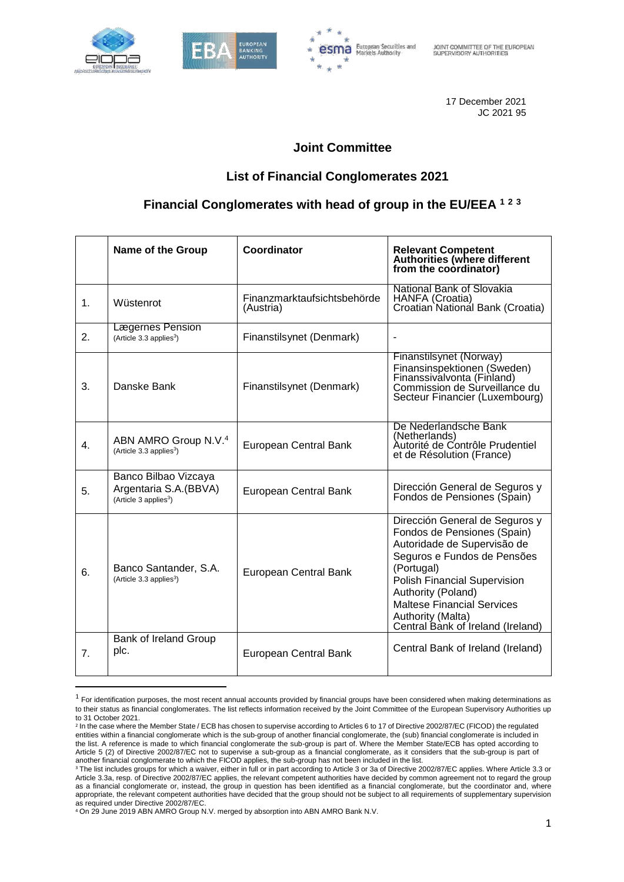

 $\overline{a}$ 





17 December 2021 JC 2021 95

### **Joint Committee**

## **List of Financial Conglomerates 2021**

## **Financial Conglomerates with head of group in the EU/EEA <sup>1</sup> <sup>2</sup> <sup>3</sup>**

|                | <b>Name of the Group</b>                                                            | Coordinator                              | <b>Relevant Competent</b><br><b>Authorities (where different</b><br>from the coordinator)                                                                                                                                                                                                             |
|----------------|-------------------------------------------------------------------------------------|------------------------------------------|-------------------------------------------------------------------------------------------------------------------------------------------------------------------------------------------------------------------------------------------------------------------------------------------------------|
| 1.             | Wüstenrot                                                                           | Finanzmarktaufsichtsbehörde<br>(Austria) | National Bank of Slovakia<br>HANFA (Croatia)<br>Croatian National Bank (Croatia)                                                                                                                                                                                                                      |
| 2.             | Lægernes Pension<br>(Article 3.3 applies <sup>3</sup> )                             | Finanstilsynet (Denmark)                 |                                                                                                                                                                                                                                                                                                       |
| 3.             | Danske Bank                                                                         | Finanstilsynet (Denmark)                 | Finanstilsynet (Norway)<br>Finansinspektionen (Sweden)<br>Finanssivalvonta (Finland)<br>Commission de Surveillance du<br>Secteur Financier (Luxembourg)                                                                                                                                               |
| 4.             | ABN AMRO Group N.V. <sup>4</sup><br>(Article 3.3 applies <sup>3</sup> )             | European Central Bank                    | De Nederlandsche Bank<br>(Netherlands)<br>Autorité de Contrôle Prudentiel<br>et de Résolution (France)                                                                                                                                                                                                |
| 5.             | Banco Bilbao Vizcaya<br>Argentaria S.A. (BBVA)<br>(Article 3 applies <sup>3</sup> ) | European Central Bank                    | Dirección General de Seguros y<br>Fondos de Pensiones (Spain)                                                                                                                                                                                                                                         |
| 6.             | Banco Santander, S.A.<br>(Article 3.3 applies <sup>3</sup> )                        | European Central Bank                    | Dirección General de Seguros y<br>Fondos de Pensiones (Spain)<br>Autoridade de Supervisão de<br>Seguros e Fundos de Pensões<br>(Portugal)<br><b>Polish Financial Supervision</b><br>Authority (Poland)<br><b>Maltese Financial Services</b><br>Authority (Malta)<br>Central Bank of Ireland (Ireland) |
| 7 <sub>1</sub> | Bank of Ireland Group<br>plc.                                                       | European Central Bank                    | Central Bank of Ireland (Ireland)                                                                                                                                                                                                                                                                     |

 $^1$  For identification purposes, the most recent annual accounts provided by financial groups have been considered when making determinations as to their status as financial conglomerates. The list reflects information received by the Joint Committee of the European Supervisory Authorities up to 31 October 2021.

<sup>2</sup> In the case where the Member State / ECB has chosen to supervise according to Articles 6 to 17 of Directive 2002/87/EC (FICOD) the regulated entities within a financial conglomerate which is the sub-group of another financial conglomerate, the (sub) financial conglomerate is included in the list. A reference is made to which financial conglomerate the sub-group is part of. Where the Member State/ECB has opted according to Article 5 (2) of Directive 2002/87/EC not to supervise a sub-group as a financial conglomerate, as it considers that the sub-group is part of another financial conglomerate to which the FICOD applies, the sub-group has not been included in the list.

<sup>3</sup> The list includes groups for which a waiver, either in full or in part according to Article 3 or 3a of Directive 2002/87/EC applies. Where Article 3.3 or Article 3.3a, resp. of Directive 2002/87/EC applies, the relevant competent authorities have decided by common agreement not to regard the group as a financial conglomerate or, instead, the group in question has been identified as a financial conglomerate, but the coordinator and, where appropriate, the relevant competent authorities have decided that the group should not be subject to all requirements of supplementary supervision as required under Directive 2002/87/EC.

<sup>4</sup> On 29 June 2019 ABN AMRO Group N.V. merged by absorption into ABN AMRO Bank N.V.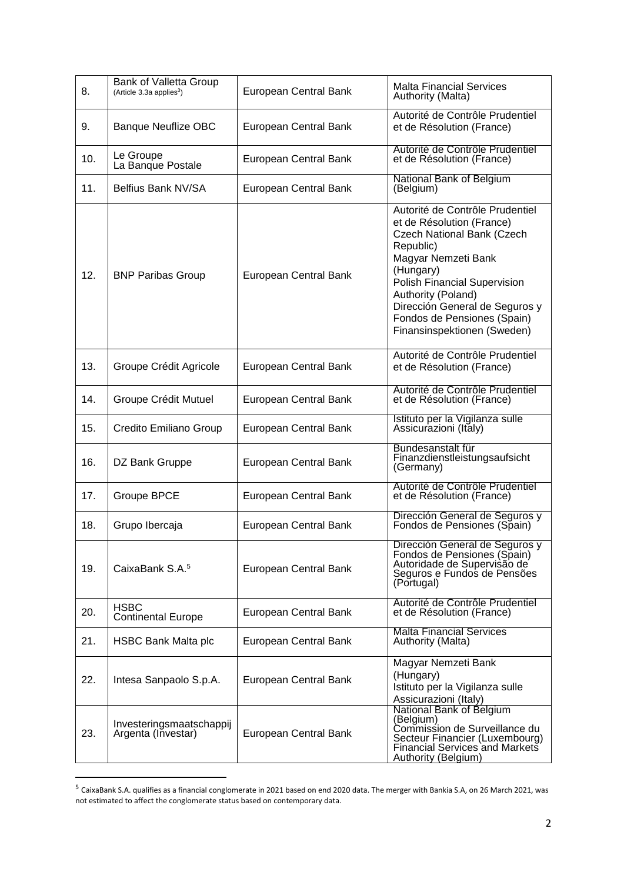| 8.  | Bank of Valletta Group<br>(Article 3.3a applies <sup>3</sup> ) | European Central Bank | <b>Malta Financial Services</b><br>Authority (Malta)                                                                                                                                                                                                                                                     |
|-----|----------------------------------------------------------------|-----------------------|----------------------------------------------------------------------------------------------------------------------------------------------------------------------------------------------------------------------------------------------------------------------------------------------------------|
| 9.  | <b>Banque Neuflize OBC</b>                                     | European Central Bank | Autorité de Contrôle Prudentiel<br>et de Résolution (France)                                                                                                                                                                                                                                             |
| 10. | Le Groupe<br>La Banque Postale                                 | European Central Bank | Autorité de Contrôle Prudentiel<br>et de Résolution (France)                                                                                                                                                                                                                                             |
| 11. | Belfius Bank NV/SA                                             | European Central Bank | National Bank of Belgium<br>(Belgium)                                                                                                                                                                                                                                                                    |
| 12. | <b>BNP Paribas Group</b>                                       | European Central Bank | Autorité de Contrôle Prudentiel<br>et de Résolution (France)<br>Czech National Bank (Czech<br>Republic)<br>Magyar Nemzeti Bank<br>(Hungary)<br><b>Polish Financial Supervision</b><br>Authority (Poland)<br>Dirección General de Seguros y<br>Fondos de Pensiones (Spain)<br>Finansinspektionen (Sweden) |
| 13. | Groupe Crédit Agricole                                         | European Central Bank | Autorité de Contrôle Prudentiel<br>et de Résolution (France)                                                                                                                                                                                                                                             |
| 14. | Groupe Crédit Mutuel                                           | European Central Bank | Autorité de Contrôle Prudentiel<br>et de Résolution (France)                                                                                                                                                                                                                                             |
| 15. | Credito Emiliano Group                                         | European Central Bank | Istituto per la Vigilanza sulle<br>Assicurazioni (Italy)                                                                                                                                                                                                                                                 |
| 16. | DZ Bank Gruppe                                                 | European Central Bank | Bundesanstalt für<br>Finanzdienstleistungsaufsicht<br>(Germany)                                                                                                                                                                                                                                          |
| 17. | Groupe BPCE                                                    | European Central Bank | Autorité de Contrôle Prudentiel<br>et de Résolution (France)                                                                                                                                                                                                                                             |
| 18. | Grupo Ibercaja                                                 | European Central Bank | Dirección General de Seguros y<br>Fondos de Pensiones (Spain)                                                                                                                                                                                                                                            |
| 19. | CaixaBank S.A. <sup>5</sup>                                    | European Central Bank | Dirección General de Seguros y<br>Fondos de Pensiones (Spain)<br>Autoridade de Supervisão de<br>Seguros e Fundos de Pensões<br>(Portugal)                                                                                                                                                                |
| 20. | <b>HSBC</b><br><b>Continental Europe</b>                       | European Central Bank | Autorité de Contrôle Prudentiel<br>et de Résolution (France)                                                                                                                                                                                                                                             |
| 21. | HSBC Bank Malta plc                                            | European Central Bank | <b>Malta Financial Services</b><br>Authority (Malta)                                                                                                                                                                                                                                                     |
| 22. | Intesa Sanpaolo S.p.A.                                         | European Central Bank | Magyar Nemzeti Bank<br>(Hungary)<br>Istituto per la Vigilanza sulle<br>Assicurazioni (Italy)                                                                                                                                                                                                             |
| 23. | Investeringsmaatschappij<br>Argenta (Investar)                 | European Central Bank | National Bank of Belgium<br>(Belgium)<br>Commission de Surveillance du<br>Secteur Financier (Luxembourg)<br>Financial Services and Markets<br><b>Authority (Belgium)</b>                                                                                                                                 |

 5 CaixaBank S.A. qualifies as a financial conglomerate in 2021 based on end 2020 data. The merger with Bankia S.A, on 26 March 2021, was not estimated to affect the conglomerate status based on contemporary data.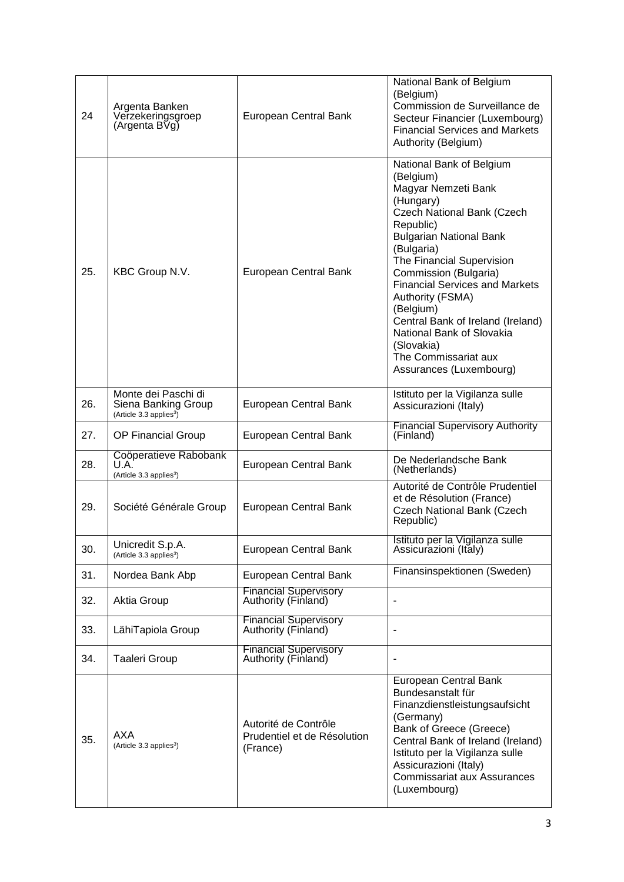| 24  | Argenta Banken<br>Verzekeringsgroep<br>(Argenta BVg)                              | European Central Bank                                           | National Bank of Belgium<br>(Belgium)<br>Commission de Surveillance de<br>Secteur Financier (Luxembourg)<br><b>Financial Services and Markets</b><br>Authority (Belgium)                                                                                                                                                                                                                                                                       |
|-----|-----------------------------------------------------------------------------------|-----------------------------------------------------------------|------------------------------------------------------------------------------------------------------------------------------------------------------------------------------------------------------------------------------------------------------------------------------------------------------------------------------------------------------------------------------------------------------------------------------------------------|
| 25. | KBC Group N.V.                                                                    | European Central Bank                                           | National Bank of Belgium<br>(Belgium)<br>Magyar Nemzeti Bank<br>(Hungary)<br><b>Czech National Bank (Czech</b><br>Republic)<br><b>Bulgarian National Bank</b><br>(Bulgaria)<br>The Financial Supervision<br>Commission (Bulgaria)<br><b>Financial Services and Markets</b><br>Authority (FSMA)<br>(Belgium)<br>Central Bank of Ireland (Ireland)<br>National Bank of Slovakia<br>(Slovakia)<br>The Commissariat aux<br>Assurances (Luxembourg) |
| 26. | Monte dei Paschi di<br>Siena Banking Group<br>(Article 3.3 applies <sup>3</sup> ) | European Central Bank                                           | Istituto per la Vigilanza sulle<br>Assicurazioni (Italy)                                                                                                                                                                                                                                                                                                                                                                                       |
| 27. | OP Financial Group                                                                | European Central Bank                                           | <b>Financial Supervisory Authority</b><br>(Finland)                                                                                                                                                                                                                                                                                                                                                                                            |
| 28. | Coöperatieve Rabobank<br>U.A.<br>(Article 3.3 applies <sup>3</sup> )              | European Central Bank                                           | De Nederlandsche Bank<br>(Netherlands)                                                                                                                                                                                                                                                                                                                                                                                                         |
| 29. | Société Générale Group                                                            | European Central Bank                                           | Autorité de Contrôle Prudentiel<br>et de Résolution (France)<br><b>Czech National Bank (Czech</b><br>Republic)                                                                                                                                                                                                                                                                                                                                 |
| 30. | Unicredit S.p.A.<br>(Article 3.3 applies <sup>3</sup> )                           | European Central Bank                                           | Istituto per la Vigilanza sulle<br>Assicurazioni (Italy)                                                                                                                                                                                                                                                                                                                                                                                       |
| 31. | Nordea Bank Abp                                                                   | European Central Bank                                           | Finansinspektionen (Sweden)                                                                                                                                                                                                                                                                                                                                                                                                                    |
| 32. | Aktia Group                                                                       | <b>Financial Supervisory</b><br>Authority (Finland)             |                                                                                                                                                                                                                                                                                                                                                                                                                                                |
| 33. | LähiTapiola Group                                                                 | <b>Financial Supervisory</b><br>Authority (Finland)             | $\overline{\phantom{a}}$                                                                                                                                                                                                                                                                                                                                                                                                                       |
| 34. | <b>Taaleri Group</b>                                                              | <b>Financial Supervisory</b><br>Authority (Finland)             |                                                                                                                                                                                                                                                                                                                                                                                                                                                |
| 35. | AXA<br>(Article 3.3 applies <sup>3</sup> )                                        | Autorité de Contrôle<br>Prudentiel et de Résolution<br>(France) | European Central Bank<br>Bundesanstalt für<br>Finanzdienstleistungsaufsicht<br>(Germany)<br>Bank of Greece (Greece)<br>Central Bank of Ireland (Ireland)<br>Istituto per la Vigilanza sulle<br>Assicurazioni (Italy)<br><b>Commissariat aux Assurances</b><br>(Luxembourg)                                                                                                                                                                     |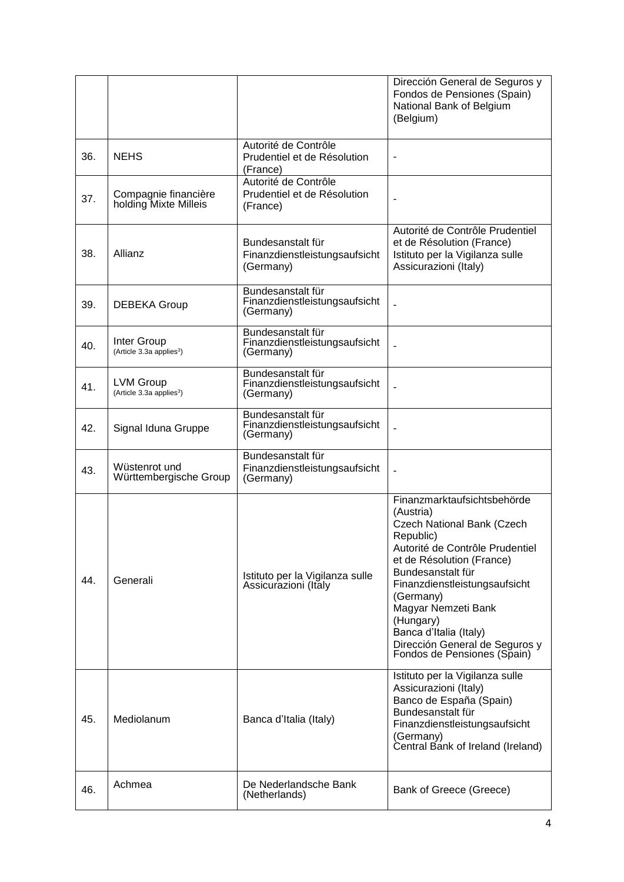|     |                                                          |                                                                 | Dirección General de Seguros y<br>Fondos de Pensiones (Spain)<br>National Bank of Belgium<br>(Belgium)                                                                                                                                                                                                                                                       |
|-----|----------------------------------------------------------|-----------------------------------------------------------------|--------------------------------------------------------------------------------------------------------------------------------------------------------------------------------------------------------------------------------------------------------------------------------------------------------------------------------------------------------------|
| 36. | <b>NEHS</b>                                              | Autorité de Contrôle<br>Prudentiel et de Résolution<br>(France) |                                                                                                                                                                                                                                                                                                                                                              |
| 37. | Compagnie financière<br>holding Mixte Milleis            | Autorité de Contrôle<br>Prudentiel et de Résolution<br>(France) |                                                                                                                                                                                                                                                                                                                                                              |
| 38. | Allianz                                                  | Bundesanstalt für<br>Finanzdienstleistungsaufsicht<br>(Germany) | Autorité de Contrôle Prudentiel<br>et de Résolution (France)<br>Istituto per la Vigilanza sulle<br>Assicurazioni (Italy)                                                                                                                                                                                                                                     |
| 39. | <b>DEBEKA Group</b>                                      | Bundesanstalt für<br>Finanzdienstleistungsaufsicht<br>(Germany) | $\overline{a}$                                                                                                                                                                                                                                                                                                                                               |
| 40. | Inter Group<br>(Article 3.3a applies <sup>3</sup> )      | Bundesanstalt für<br>Finanzdienstleistungsaufsicht<br>(Germany) |                                                                                                                                                                                                                                                                                                                                                              |
| 41. | <b>LVM Group</b><br>(Article 3.3a applies <sup>3</sup> ) | Bundesanstalt für<br>Finanzdienstleistungsaufsicht<br>(Germany) |                                                                                                                                                                                                                                                                                                                                                              |
| 42. | Signal Iduna Gruppe                                      | Bundesanstalt für<br>Finanzdienstleistungsaufsicht<br>(Germany) |                                                                                                                                                                                                                                                                                                                                                              |
| 43. | Wüstenrot und<br>Württembergische Group                  | Bundesanstalt für<br>Finanzdienstleistungsaufsicht<br>(Germany) | $\blacksquare$                                                                                                                                                                                                                                                                                                                                               |
| 44. | Generali                                                 | Istituto per la Vigilanza sulle<br>Assicurazioni (Italy         | Finanzmarktaufsichtsbehörde<br>(Austria)<br><b>Czech National Bank (Czech</b><br>Republic)<br>Autorité de Contrôle Prudentiel<br>et de Résolution (France)<br>Bundesanstalt für<br>Finanzdienstleistungsaufsicht<br>(Germany)<br>Magyar Nemzeti Bank<br>(Hungary)<br>Banca d'Italia (Italy)<br>Dirección General de Seguros y<br>Fondos de Pensiones (Spain) |
| 45. | Mediolanum                                               | Banca d'Italia (Italy)                                          | Istituto per la Vigilanza sulle<br>Assicurazioni (Italy)<br>Banco de España (Spain)<br>Bundesanstalt für<br>Finanzdienstleistungsaufsicht<br>(Germany)<br>Central Bank of Ireland (Ireland)                                                                                                                                                                  |
| 46. | Achmea                                                   | De Nederlandsche Bank<br>(Netherlands)                          | Bank of Greece (Greece)                                                                                                                                                                                                                                                                                                                                      |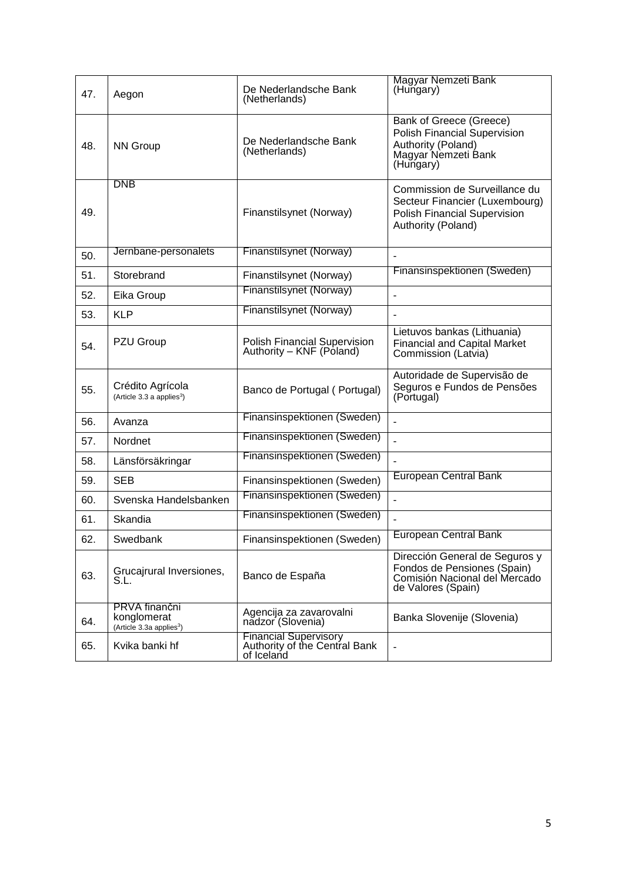| 47. | Aegon                                                                | De Nederlandsche Bank<br>(Netherlands)                                      | Magyar Nemzeti Bank<br>(Hungary)                                                                                             |
|-----|----------------------------------------------------------------------|-----------------------------------------------------------------------------|------------------------------------------------------------------------------------------------------------------------------|
| 48. | <b>NN Group</b>                                                      | De Nederlandsche Bank<br>(Netherlands)                                      | Bank of Greece (Greece)<br><b>Polish Financial Supervision</b><br>Authority (Poland)<br>Magyar Nemzeti Bank<br>(Hungary)     |
| 49. | <b>DNB</b>                                                           | Finanstilsynet (Norway)                                                     | Commission de Surveillance du<br>Secteur Financier (Luxembourg)<br><b>Polish Financial Supervision</b><br>Authority (Poland) |
| 50. | Jernbane-personalets                                                 | Finanstilsynet (Norway)                                                     |                                                                                                                              |
| 51. | Storebrand                                                           | Finanstilsynet (Norway)                                                     | Finansinspektionen (Sweden)                                                                                                  |
| 52. | Eika Group                                                           | Finanstilsynet (Norway)                                                     | $\blacksquare$                                                                                                               |
| 53. | <b>KLP</b>                                                           | Finanstilsynet (Norway)                                                     |                                                                                                                              |
| 54. | PZU Group                                                            | <b>Polish Financial Supervision</b><br>Authority – KNF (Poland)             | Lietuvos bankas (Lithuania)<br><b>Financial and Capital Market</b><br>Commission (Latvia)                                    |
| 55. | Crédito Agrícola<br>(Article 3.3 a applies <sup>3</sup> )            | Banco de Portugal (Portugal)                                                | Autoridade de Supervisão de<br>Seguros e Fundos de Pensões<br>(Portugal)                                                     |
| 56. | Avanza                                                               | Finansinspektionen (Sweden)                                                 |                                                                                                                              |
| 57. | Nordnet                                                              | Finansinspektionen (Sweden)                                                 |                                                                                                                              |
| 58. | Länsförsäkringar                                                     | Finansinspektionen (Sweden)                                                 | ÷,                                                                                                                           |
| 59. | <b>SEB</b>                                                           | Finansinspektionen (Sweden)                                                 | <b>European Central Bank</b>                                                                                                 |
| 60. | Svenska Handelsbanken                                                | Finansinspektionen (Sweden)                                                 |                                                                                                                              |
| 61. | Skandia                                                              | Finansinspektionen (Sweden)                                                 |                                                                                                                              |
| 62. | Swedbank                                                             | Finansinspektionen (Sweden)                                                 | <b>European Central Bank</b>                                                                                                 |
| 63. | Grucajrural Inversiones,<br>S.L.                                     | Banco de España                                                             | Dirección General de Seguros y<br>Fondos de Pensiones (Spain)<br>Comisión Nacional del Mercado<br>de Valores (Spain)         |
| 64. | PRVA finančni<br>konglomerat<br>(Article 3.3a applies <sup>3</sup> ) | Agencija za zavarovalni<br>nadzor (Slovenia)                                | Banka Slovenije (Slovenia)                                                                                                   |
| 65. | Kvika banki hf                                                       | <b>Financial Supervisory</b><br>Authority of the Central Bank<br>of Iceland | $\blacksquare$                                                                                                               |